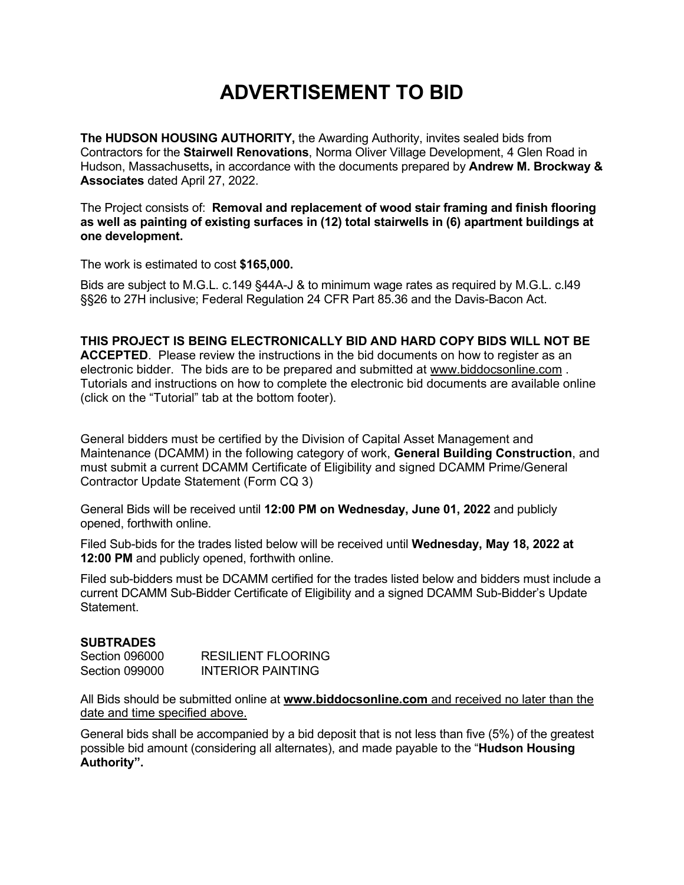## **ADVERTISEMENT TO BID**

**The HUDSON HOUSING AUTHORITY,** the Awarding Authority, invites sealed bids from Contractors for the **Stairwell Renovations**, Norma Oliver Village Development, 4 Glen Road in Hudson, Massachusetts**,** in accordance with the documents prepared by **Andrew M. Brockway & Associates** dated April 27, 2022.

The Project consists of: **Removal and replacement of wood stair framing and finish flooring as well as painting of existing surfaces in (12) total stairwells in (6) apartment buildings at one development.**

The work is estimated to cost **\$165,000.**

Bids are subject to M.G.L. c.149 §44A-J & to minimum wage rates as required by M.G.L. c.l49 §§26 to 27H inclusive; Federal Regulation 24 CFR Part 85.36 and the Davis-Bacon Act.

## **THIS PROJECT IS BEING ELECTRONICALLY BID AND HARD COPY BIDS WILL NOT BE**

**ACCEPTED**. Please review the instructions in the bid documents on how to register as an electronic bidder. The bids are to be prepared and submitted at [www.biddocsonline.com](http://www.biddocsonline.com/) . Tutorials and instructions on how to complete the electronic bid documents are available online (click on the "Tutorial" tab at the bottom footer).

General bidders must be certified by the Division of Capital Asset Management and Maintenance (DCAMM) in the following category of work, **General Building Construction**, and must submit a current DCAMM Certificate of Eligibility and signed DCAMM Prime/General Contractor Update Statement (Form CQ 3)

General Bids will be received until **12:00 PM on Wednesday, June 01, 2022** and publicly opened, forthwith online.

Filed Sub-bids for the trades listed below will be received until **Wednesday, May 18, 2022 at 12:00 PM** and publicly opened, forthwith online.

Filed sub-bidders must be DCAMM certified for the trades listed below and bidders must include a current DCAMM Sub-Bidder Certificate of Eligibility and a signed DCAMM Sub-Bidder's Update Statement.

## **SUBTRADES**

| Section 096000 | RESILIENT FLOORING |
|----------------|--------------------|
| Section 099000 | INTERIOR PAINTING  |

All Bids should be submitted online at **[www.biddocsonline.com](http://www.biddocsonline.com/)** and received no later than the date and time specified above.

General bids shall be accompanied by a bid deposit that is not less than five (5%) of the greatest possible bid amount (considering all alternates), and made payable to the "**Hudson Housing Authority".**